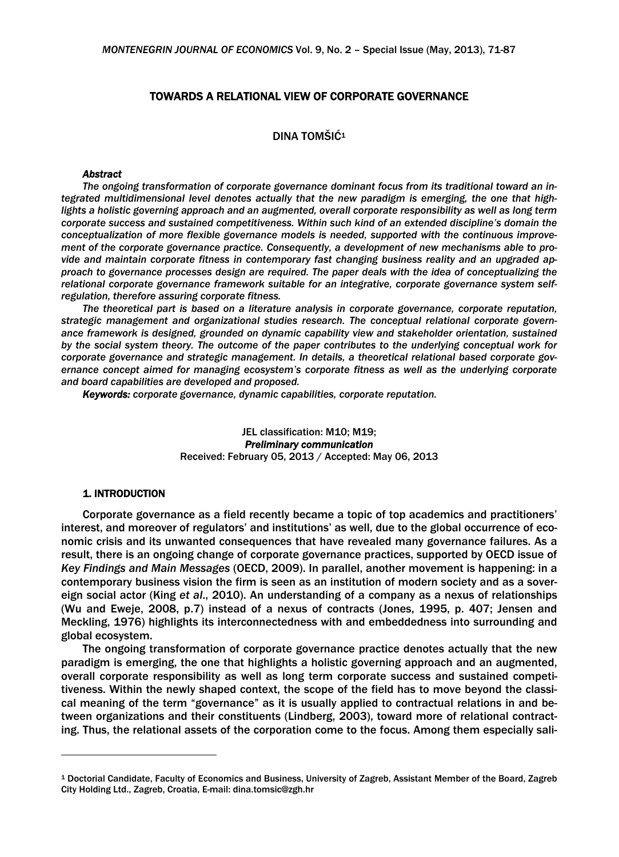## TOWARDS A RELATIONAL VIEW OF CORPORATE GOVERNANCE

# DINA TOMŠIĆ<sup>1</sup>

#### *Abstract*

*The ongoing transformation of corporate governance dominant focus from its traditional toward an integrated multidimensional level denotes actually that the new paradigm is emerging, the one that highlights a holistic governing approach and an augmented, overall corporate responsibility as well as long term corporate success and sustained competitiveness. Within such kind of an extended discipline's domain the conceptualization of more flexible governance models is needed, supported with the continuous improvement of the corporate governance practice. Consequently, a development of new mechanisms able to provide and maintain corporate fitness in contemporary fast changing business reality and an upgraded approach to governance processes design are required. The paper deals with the idea of conceptualizing the relational corporate governance framework suitable for an integrative, corporate governance system selfregulation, therefore assuring corporate fitness.* 

*The theoretical part is based on a literature analysis in corporate governance, corporate reputation, strategic management and organizational studies research. The conceptual relational corporate governance framework is designed, grounded on dynamic capability view and stakeholder orientation, sustained by the social system theory. The outcome of the paper contributes to the underlying conceptual work for corporate governance and strategic management. In details, a theoretical relational based corporate governance concept aimed for managing ecosystem's corporate fitness as well as the underlying corporate and board capabilities are developed and proposed.* 

*Keywords: corporate governance, dynamic capabilities, corporate reputation.* 

JEL classification: M10; M19; *Preliminary communication*  Received: February 05, 2013 / Accepted: May 06, 2013

### 1. INTRODUCTION

1

Corporate governance as a field recently became a topic of top academics and practitioners' interest, and moreover of regulators' and institutions' as well, due to the global occurrence of economic crisis and its unwanted consequences that have revealed many governance failures. As a result, there is an ongoing change of corporate governance practices, supported by OECD issue of *Key Findings and Main Messages* (OECD, 2009). In parallel, another movement is happening: in a contemporary business vision the firm is seen as an institution of modern society and as a sovereign social actor (King *et al*., 2010). An understanding of a company as a nexus of relationships (Wu and Eweje, 2008, p.7) instead of a nexus of contracts (Jones, 1995, p. 407; Jensen and Meckling, 1976) highlights its interconnectedness with and embeddedness into surrounding and global ecosystem.

The ongoing transformation of corporate governance practice denotes actually that the new paradigm is emerging, the one that highlights a holistic governing approach and an augmented, overall corporate responsibility as well as long term corporate success and sustained competitiveness. Within the newly shaped context, the scope of the field has to move beyond the classical meaning of the term "governance" as it is usually applied to contractual relations in and between organizations and their constituents (Lindberg, 2003), toward more of relational contracting. Thus, the relational assets of the corporation come to the focus. Among them especially sali-

<sup>1</sup> Doctorial Candidate, Faculty of Economics and Business, University of Zagreb, Assistant Member of the Board, Zagreb City Holding Ltd., Zagreb, Croatia, E-mail: dina.tomsic@zgh.hr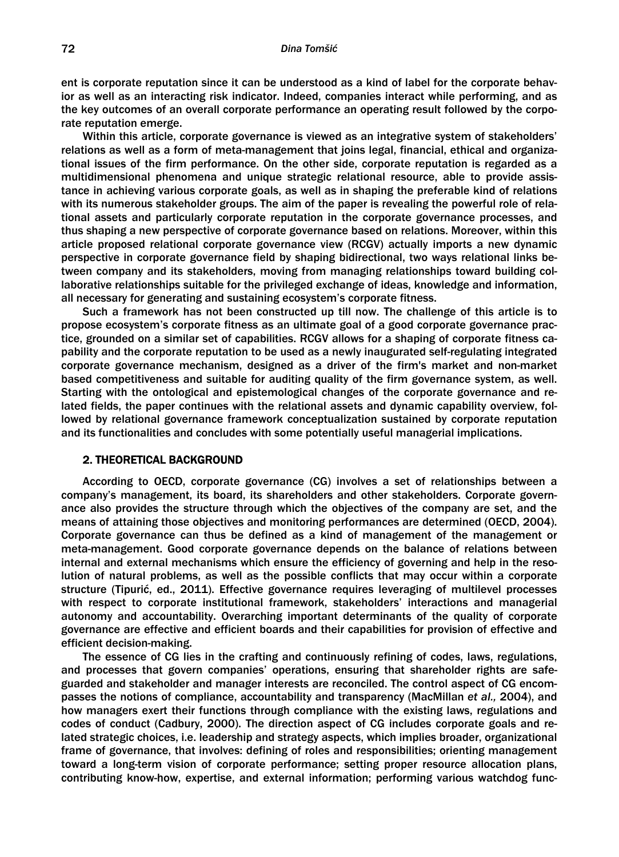#### *Dina Tomšić*

ent is corporate reputation since it can be understood as a kind of label for the corporate behavior as well as an interacting risk indicator. Indeed, companies interact while performing, and as the key outcomes of an overall corporate performance an operating result followed by the corporate reputation emerge.

Within this article, corporate governance is viewed as an integrative system of stakeholders' relations as well as a form of meta-management that joins legal, financial, ethical and organizational issues of the firm performance. On the other side, corporate reputation is regarded as a multidimensional phenomena and unique strategic relational resource, able to provide assistance in achieving various corporate goals, as well as in shaping the preferable kind of relations with its numerous stakeholder groups. The aim of the paper is revealing the powerful role of relational assets and particularly corporate reputation in the corporate governance processes, and thus shaping a new perspective of corporate governance based on relations. Moreover, within this article proposed relational corporate governance view (RCGV) actually imports a new dynamic perspective in corporate governance field by shaping bidirectional, two ways relational links between company and its stakeholders, moving from managing relationships toward building collaborative relationships suitable for the privileged exchange of ideas, knowledge and information, all necessary for generating and sustaining ecosystem's corporate fitness.

Such a framework has not been constructed up till now. The challenge of this article is to propose ecosystem's corporate fitness as an ultimate goal of a good corporate governance practice, grounded on a similar set of capabilities. RCGV allows for a shaping of corporate fitness capability and the corporate reputation to be used as a newly inaugurated self-regulating integrated corporate governance mechanism, designed as a driver of the firm's market and non-market based competitiveness and suitable for auditing quality of the firm governance system, as well. Starting with the ontological and epistemological changes of the corporate governance and related fields, the paper continues with the relational assets and dynamic capability overview, followed by relational governance framework conceptualization sustained by corporate reputation and its functionalities and concludes with some potentially useful managerial implications.

#### 2. THEORETICAL BACKGROUND

According to OECD, corporate governance (CG) involves a set of relationships between a company's management, its board, its shareholders and other stakeholders. Corporate governance also provides the structure through which the objectives of the company are set, and the means of attaining those objectives and monitoring performances are determined (OECD, 2004). Corporate governance can thus be defined as a kind of management of the management or meta-management. Good corporate governance depends on the balance of relations between internal and external mechanisms which ensure the efficiency of governing and help in the resolution of natural problems, as well as the possible conflicts that may occur within a corporate structure (Tipurić, ed., 2011). Effective governance requires leveraging of multilevel processes with respect to corporate institutional framework, stakeholders' interactions and managerial autonomy and accountability. Overarching important determinants of the quality of corporate governance are effective and efficient boards and their capabilities for provision of effective and efficient decision-making.

The essence of CG lies in the crafting and continuously refining of codes, laws, regulations, and processes that govern companies' operations, ensuring that shareholder rights are safeguarded and stakeholder and manager interests are reconciled. The control aspect of CG encompasses the notions of compliance, accountability and transparency (MacMillan *et al.,* 2004), and how managers exert their functions through compliance with the existing laws, regulations and codes of conduct (Cadbury, 2000). The direction aspect of CG includes corporate goals and related strategic choices, i.e. leadership and strategy aspects, which implies broader, organizational frame of governance, that involves: defining of roles and responsibilities; orienting management toward a long-term vision of corporate performance; setting proper resource allocation plans, contributing know-how, expertise, and external information; performing various watchdog func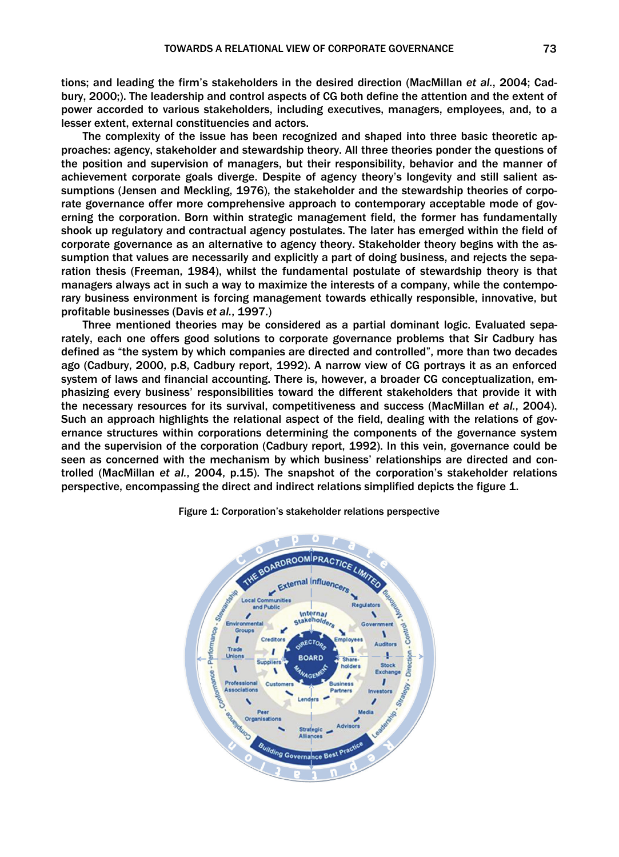tions; and leading the firm's stakeholders in the desired direction (MacMillan *et al.*, 2004; Cadbury, 2000;). The leadership and control aspects of CG both define the attention and the extent of power accorded to various stakeholders, including executives, managers, employees, and, to a lesser extent, external constituencies and actors.

The complexity of the issue has been recognized and shaped into three basic theoretic approaches: agency, stakeholder and stewardship theory. All three theories ponder the questions of the position and supervision of managers, but their responsibility, behavior and the manner of achievement corporate goals diverge. Despite of agency theory's longevity and still salient assumptions (Jensen and Meckling, 1976), the stakeholder and the stewardship theories of corporate governance offer more comprehensive approach to contemporary acceptable mode of governing the corporation. Born within strategic management field, the former has fundamentally shook up regulatory and contractual agency postulates. The later has emerged within the field of corporate governance as an alternative to agency theory. Stakeholder theory begins with the assumption that values are necessarily and explicitly a part of doing business, and rejects the separation thesis (Freeman, 1984), whilst the fundamental postulate of stewardship theory is that managers always act in such a way to maximize the interests of a company, while the contemporary business environment is forcing management towards ethically responsible, innovative, but profitable businesses (Davis *et al.*, 1997.)

Three mentioned theories may be considered as a partial dominant logic. Evaluated separately, each one offers good solutions to corporate governance problems that Sir Cadbury has defined as "the system by which companies are directed and controlled", more than two decades ago (Cadbury, 2000, p.8, Cadbury report, 1992). A narrow view of CG portrays it as an enforced system of laws and financial accounting. There is, however, a broader CG conceptualization, emphasizing every business' responsibilities toward the different stakeholders that provide it with the necessary resources for its survival, competitiveness and success (MacMillan *et al.*, 2004). Such an approach highlights the relational aspect of the field, dealing with the relations of governance structures within corporations determining the components of the governance system and the supervision of the corporation (Cadbury report, 1992). In this vein, governance could be seen as concerned with the mechanism by which business' relationships are directed and controlled (MacMillan *et al.*, 2004, p.15). The snapshot of the corporation's stakeholder relations perspective, encompassing the direct and indirect relations simplified depicts the figure 1.



Figure 1: Corporation's stakeholder relations perspective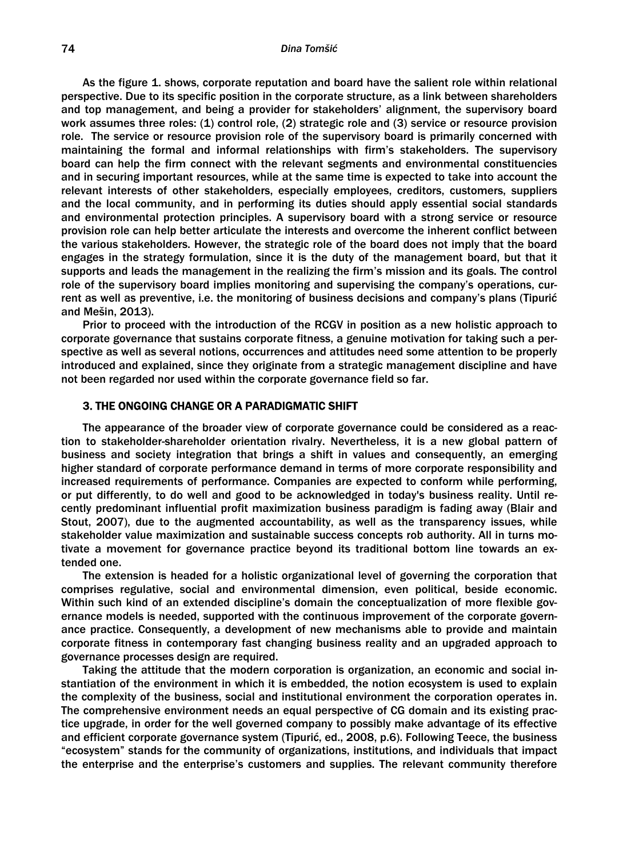As the figure 1. shows, corporate reputation and board have the salient role within relational perspective. Due to its specific position in the corporate structure, as a link between shareholders and top management, and being a provider for stakeholders' alignment, the supervisory board work assumes three roles: (1) control role, (2) strategic role and (3) service or resource provision role. The service or resource provision role of the supervisory board is primarily concerned with maintaining the formal and informal relationships with firm's stakeholders. The supervisory board can help the firm connect with the relevant segments and environmental constituencies and in securing important resources, while at the same time is expected to take into account the relevant interests of other stakeholders, especially employees, creditors, customers, suppliers and the local community, and in performing its duties should apply essential social standards and environmental protection principles. A supervisory board with a strong service or resource provision role can help better articulate the interests and overcome the inherent conflict between the various stakeholders. However, the strategic role of the board does not imply that the board engages in the strategy formulation, since it is the duty of the management board, but that it supports and leads the management in the realizing the firm's mission and its goals. The control role of the supervisory board implies monitoring and supervising the company's operations, current as well as preventive, i.e. the monitoring of business decisions and company's plans (Tipurić and Mešin, 2013).

Prior to proceed with the introduction of the RCGV in position as a new holistic approach to corporate governance that sustains corporate fitness, a genuine motivation for taking such a perspective as well as several notions, occurrences and attitudes need some attention to be properly introduced and explained, since they originate from a strategic management discipline and have not been regarded nor used within the corporate governance field so far.

## 3. THE ONGOING CHANGE OR A PARADIGMATIC SHIFT

The appearance of the broader view of corporate governance could be considered as a reaction to stakeholder-shareholder orientation rivalry. Nevertheless, it is a new global pattern of business and society integration that brings a shift in values and consequently, an emerging higher standard of corporate performance demand in terms of more corporate responsibility and increased requirements of performance. Companies are expected to conform while performing, or put differently, to do well and good to be acknowledged in today's business reality. Until recently predominant influential profit maximization business paradigm is fading away (Blair and Stout, 2007), due to the augmented accountability, as well as the transparency issues, while stakeholder value maximization and sustainable success concepts rob authority. All in turns motivate a movement for governance practice beyond its traditional bottom line towards an extended one.

The extension is headed for a holistic organizational level of governing the corporation that comprises regulative, social and environmental dimension, even political, beside economic. Within such kind of an extended discipline's domain the conceptualization of more flexible governance models is needed, supported with the continuous improvement of the corporate governance practice. Consequently, a development of new mechanisms able to provide and maintain corporate fitness in contemporary fast changing business reality and an upgraded approach to governance processes design are required.

Taking the attitude that the modern corporation is organization, an economic and social instantiation of the environment in which it is embedded, the notion ecosystem is used to explain the complexity of the business, social and institutional environment the corporation operates in. The comprehensive environment needs an equal perspective of CG domain and its existing practice upgrade, in order for the well governed company to possibly make advantage of its effective and efficient corporate governance system (Tipurić, ed., 2008, p.6). Following Teece, the business "ecosystem" stands for the community of organizations, institutions, and individuals that impact the enterprise and the enterprise's customers and supplies. The relevant community therefore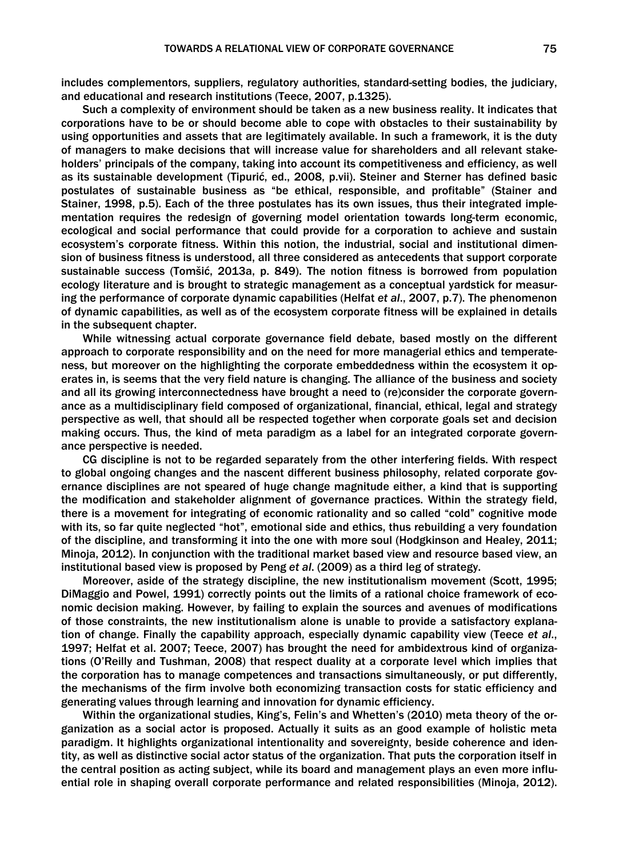includes complementors, suppliers, regulatory authorities, standard-setting bodies, the judiciary, and educational and research institutions (Teece, 2007, p.1325).

Such a complexity of environment should be taken as a new business reality. It indicates that corporations have to be or should become able to cope with obstacles to their sustainability by using opportunities and assets that are legitimately available. In such a framework, it is the duty of managers to make decisions that will increase value for shareholders and all relevant stakeholders' principals of the company, taking into account its competitiveness and efficiency, as well as its sustainable development (Tipurić, ed., 2008, p.vii). Steiner and Sterner has defined basic postulates of sustainable business as "be ethical, responsible, and profitable" (Stainer and Stainer, 1998, p.5). Each of the three postulates has its own issues, thus their integrated implementation requires the redesign of governing model orientation towards long-term economic, ecological and social performance that could provide for a corporation to achieve and sustain ecosystem's corporate fitness. Within this notion, the industrial, social and institutional dimension of business fitness is understood, all three considered as antecedents that support corporate sustainable success (Tomšić, 2013a, p. 849). The notion fitness is borrowed from population ecology literature and is brought to strategic management as a conceptual yardstick for measuring the performance of corporate dynamic capabilities (Helfat *et al*., 2007, p.7). The phenomenon of dynamic capabilities, as well as of the ecosystem corporate fitness will be explained in details in the subsequent chapter.

While witnessing actual corporate governance field debate, based mostly on the different approach to corporate responsibility and on the need for more managerial ethics and temperateness, but moreover on the highlighting the corporate embeddedness within the ecosystem it operates in, is seems that the very field nature is changing. The alliance of the business and society and all its growing interconnectedness have brought a need to (re)consider the corporate governance as a multidisciplinary field composed of organizational, financial, ethical, legal and strategy perspective as well, that should all be respected together when corporate goals set and decision making occurs. Thus, the kind of meta paradigm as a label for an integrated corporate governance perspective is needed.

CG discipline is not to be regarded separately from the other interfering fields. With respect to global ongoing changes and the nascent different business philosophy, related corporate governance disciplines are not speared of huge change magnitude either, a kind that is supporting the modification and stakeholder alignment of governance practices. Within the strategy field, there is a movement for integrating of economic rationality and so called "cold" cognitive mode with its, so far quite neglected "hot", emotional side and ethics, thus rebuilding a very foundation of the discipline, and transforming it into the one with more soul (Hodgkinson and Healey, 2011; Minoja, 2012). In conjunction with the traditional market based view and resource based view, an institutional based view is proposed by Peng *et al*. (2009) as a third leg of strategy.

Moreover, aside of the strategy discipline, the new institutionalism movement (Scott, 1995; DiMaggio and Powel, 1991) correctly points out the limits of a rational choice framework of economic decision making. However, by failing to explain the sources and avenues of modifications of those constraints, the new institutionalism alone is unable to provide a satisfactory explanation of change. Finally the capability approach, especially dynamic capability view (Teece *et al*., 1997; Helfat et al. 2007; Teece, 2007) has brought the need for ambidextrous kind of organizations (O'Reilly and Tushman, 2008) that respect duality at a corporate level which implies that the corporation has to manage competences and transactions simultaneously, or put differently, the mechanisms of the firm involve both economizing transaction costs for static efficiency and generating values through learning and innovation for dynamic efficiency.

Within the organizational studies, King's, Felin's and Whetten's (2010) meta theory of the organization as a social actor is proposed. Actually it suits as an good example of holistic meta paradigm. It highlights organizational intentionality and sovereignty, beside coherence and identity, as well as distinctive social actor status of the organization. That puts the corporation itself in the central position as acting subject, while its board and management plays an even more influential role in shaping overall corporate performance and related responsibilities (Minoja, 2012).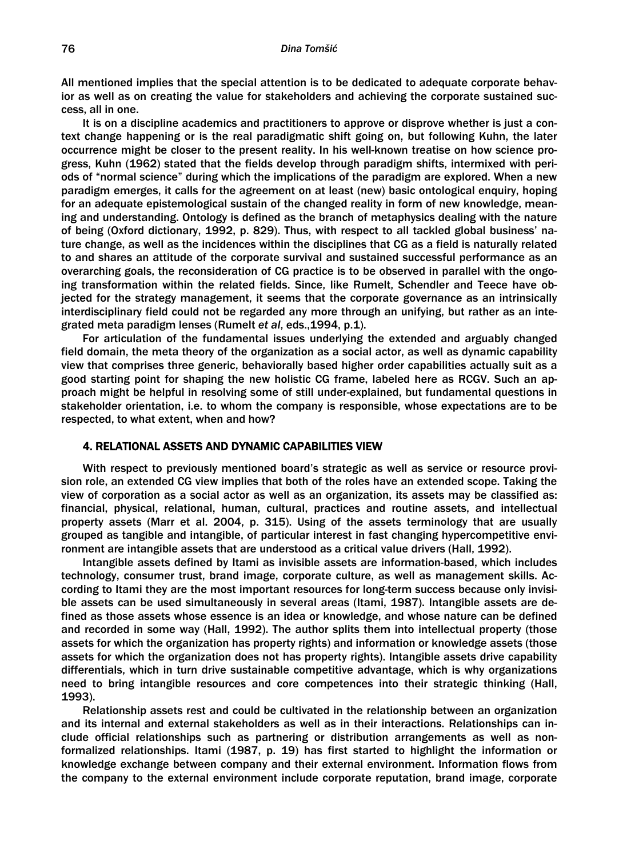#### *Dina Tomšić*

All mentioned implies that the special attention is to be dedicated to adequate corporate behavior as well as on creating the value for stakeholders and achieving the corporate sustained success, all in one.

It is on a discipline academics and practitioners to approve or disprove whether is just a context change happening or is the real paradigmatic shift going on, but following Kuhn, the later occurrence might be closer to the present reality. In his well-known treatise on how science progress, Kuhn (1962) stated that the fields develop through paradigm shifts, intermixed with periods of "normal science" during which the implications of the paradigm are explored. When a new paradigm emerges, it calls for the agreement on at least (new) basic ontological enquiry, hoping for an adequate epistemological sustain of the changed reality in form of new knowledge, meaning and understanding. Ontology is defined as the branch of metaphysics dealing with the nature of being (Oxford dictionary, 1992, p. 829). Thus, with respect to all tackled global business' nature change, as well as the incidences within the disciplines that CG as a field is naturally related to and shares an attitude of the corporate survival and sustained successful performance as an overarching goals, the reconsideration of CG practice is to be observed in parallel with the ongoing transformation within the related fields. Since, like Rumelt, Schendler and Teece have objected for the strategy management, it seems that the corporate governance as an intrinsically interdisciplinary field could not be regarded any more through an unifying, but rather as an integrated meta paradigm lenses (Rumelt *et al*, eds.,1994, p.1).

For articulation of the fundamental issues underlying the extended and arguably changed field domain, the meta theory of the organization as a social actor, as well as dynamic capability view that comprises three generic, behaviorally based higher order capabilities actually suit as a good starting point for shaping the new holistic CG frame, labeled here as RCGV. Such an approach might be helpful in resolving some of still under-explained, but fundamental questions in stakeholder orientation, i.e. to whom the company is responsible, whose expectations are to be respected, to what extent, when and how?

### 4. RELATIONAL ASSETS AND DYNAMIC CAPABILITIES VIEW

With respect to previously mentioned board's strategic as well as service or resource provision role, an extended CG view implies that both of the roles have an extended scope. Taking the view of corporation as a social actor as well as an organization, its assets may be classified as: financial, physical, relational, human, cultural, practices and routine assets, and intellectual property assets (Marr et al. 2004, p. 315). Using of the assets terminology that are usually grouped as tangible and intangible, of particular interest in fast changing hypercompetitive environment are intangible assets that are understood as a critical value drivers (Hall, 1992).

Intangible assets defined by Itami as invisible assets are information-based, which includes technology, consumer trust, brand image, corporate culture, as well as management skills. According to Itami they are the most important resources for long-term success because only invisible assets can be used simultaneously in several areas (Itami, 1987). Intangible assets are defined as those assets whose essence is an idea or knowledge, and whose nature can be defined and recorded in some way (Hall, 1992). The author splits them into intellectual property (those assets for which the organization has property rights) and information or knowledge assets (those assets for which the organization does not has property rights). Intangible assets drive capability differentials, which in turn drive sustainable competitive advantage, which is why organizations need to bring intangible resources and core competences into their strategic thinking (Hall, 1993).

Relationship assets rest and could be cultivated in the relationship between an organization and its internal and external stakeholders as well as in their interactions. Relationships can include official relationships such as partnering or distribution arrangements as well as nonformalized relationships. Itami (1987, p. 19) has first started to highlight the information or knowledge exchange between company and their external environment. Information flows from the company to the external environment include corporate reputation, brand image, corporate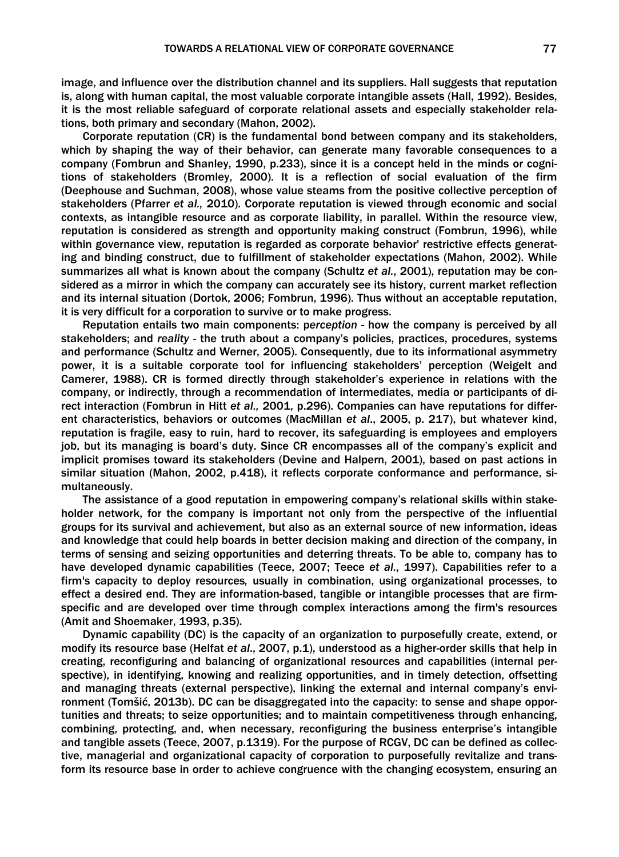image, and influence over the distribution channel and its suppliers. Hall suggests that reputation is, along with human capital, the most valuable corporate intangible assets (Hall, 1992). Besides, it is the most reliable safeguard of corporate relational assets and especially stakeholder relations, both primary and secondary (Mahon, 2002).

Corporate reputation (CR) is the fundamental bond between company and its stakeholders, which by shaping the way of their behavior, can generate many favorable consequences to a company (Fombrun and Shanley, 1990, p.233), since it is a concept held in the minds or cognitions of stakeholders (Bromley, 2000). It is a reflection of social evaluation of the firm (Deephouse and Suchman, 2008), whose value steams from the positive collective perception of stakeholders (Pfarrer *et al.,* 2010). Corporate reputation is viewed through economic and social contexts, as intangible resource and as corporate liability, in parallel. Within the resource view, reputation is considered as strength and opportunity making construct (Fombrun, 1996), while within governance view, reputation is regarded as corporate behavior' restrictive effects generating and binding construct, due to fulfillment of stakeholder expectations (Mahon, 2002). While summarizes all what is known about the company (Schultz *et al.*, 2001), reputation may be considered as a mirror in which the company can accurately see its history, current market reflection and its internal situation (Dortok, 2006; Fombrun, 1996). Thus without an acceptable reputation, it is very difficult for a corporation to survive or to make progress.

Reputation entails two main components: p*erception -* how the company is perceived by all stakeholders; and *reality -* the truth about a company's policies, practices, procedures, systems and performance (Schultz and Werner, 2005). Consequently, due to its informational asymmetry power, it is a suitable corporate tool for influencing stakeholders' perception (Weigelt and Camerer, 1988). CR is formed directly through stakeholder's experience in relations with the company, or indirectly, through a recommendation of intermediates, media or participants of direct interaction (Fombrun in Hitt *et al.,* 2001, p.296). Companies can have reputations for different characteristics, behaviors or outcomes (MacMillan *et al*., 2005, p. 217), but whatever kind, reputation is fragile, easy to ruin, hard to recover, its safeguarding is employees and employers job, but its managing is board's duty. Since CR encompasses all of the company's explicit and implicit promises toward its stakeholders (Devine and Halpern, 2001), based on past actions in similar situation (Mahon, 2002, p.418), it reflects corporate conformance and performance, simultaneously.

The assistance of a good reputation in empowering company's relational skills within stakeholder network, for the company is important not only from the perspective of the influential groups for its survival and achievement, but also as an external source of new information, ideas and knowledge that could help boards in better decision making and direction of the company, in terms of sensing and seizing opportunities and deterring threats. To be able to, company has to have developed dynamic capabilities (Teece, 2007; Teece *et al.*, 1997). Capabilities refer to a firm's capacity to deploy resources*,* usually in combination, using organizational processes, to effect a desired end. They are information-based, tangible or intangible processes that are firmspecific and are developed over time through complex interactions among the firm's resources (Amit and Shoemaker, 1993, p.35).

Dynamic capability (DC) is the capacity of an organization to purposefully create, extend, or modify its resource base (Helfat *et al*., 2007, p.1), understood as a higher-order skills that help in creating, reconfiguring and balancing of organizational resources and capabilities (internal perspective), in identifying, knowing and realizing opportunities, and in timely detection, offsetting and managing threats (external perspective), linking the external and internal company's environment (Tomšić, 2013b). DC can be disaggregated into the capacity: to sense and shape opportunities and threats; to seize opportunities; and to maintain competitiveness through enhancing, combining, protecting, and, when necessary, reconfiguring the business enterprise's intangible and tangible assets (Teece, 2007, p.1319). For the purpose of RCGV, DC can be defined as collective, managerial and organizational capacity of corporation to purposefully revitalize and transform its resource base in order to achieve congruence with the changing ecosystem, ensuring an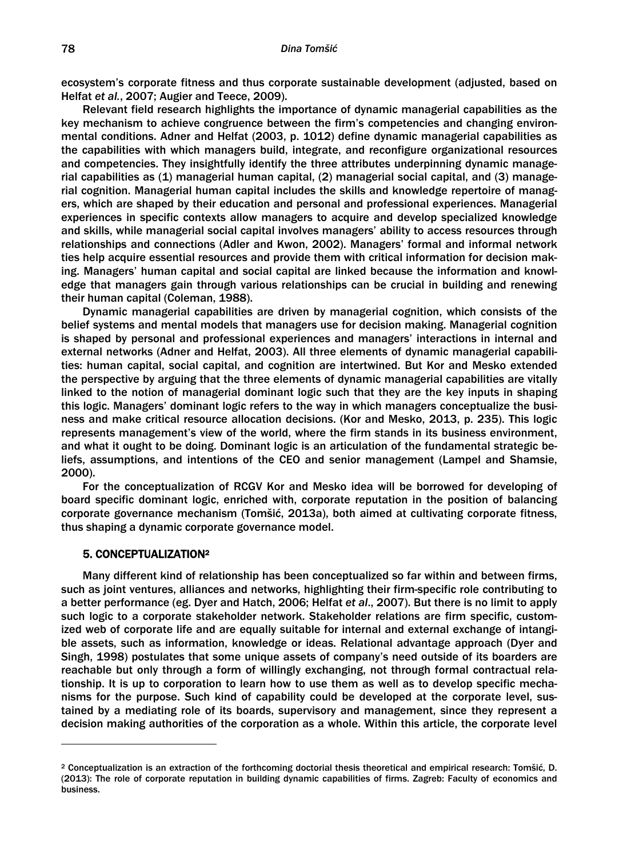ecosystem's corporate fitness and thus corporate sustainable development (adjusted, based on Helfat *et al.*, 2007; Augier and Teece, 2009).

Relevant field research highlights the importance of dynamic managerial capabilities as the key mechanism to achieve congruence between the firm's competencies and changing environmental conditions. Adner and Helfat (2003, p. 1012) define dynamic managerial capabilities as the capabilities with which managers build, integrate, and reconfigure organizational resources and competencies. They insightfully identify the three attributes underpinning dynamic managerial capabilities as (1) managerial human capital, (2) managerial social capital, and (3) managerial cognition. Managerial human capital includes the skills and knowledge repertoire of managers, which are shaped by their education and personal and professional experiences. Managerial experiences in specific contexts allow managers to acquire and develop specialized knowledge and skills, while managerial social capital involves managers' ability to access resources through relationships and connections (Adler and Kwon, 2002). Managers' formal and informal network ties help acquire essential resources and provide them with critical information for decision making. Managers' human capital and social capital are linked because the information and knowledge that managers gain through various relationships can be crucial in building and renewing their human capital (Coleman, 1988).

Dynamic managerial capabilities are driven by managerial cognition, which consists of the belief systems and mental models that managers use for decision making. Managerial cognition is shaped by personal and professional experiences and managers' interactions in internal and external networks (Adner and Helfat, 2003). All three elements of dynamic managerial capabilities: human capital, social capital, and cognition are intertwined. But Kor and Mesko extended the perspective by arguing that the three elements of dynamic managerial capabilities are vitally linked to the notion of managerial dominant logic such that they are the key inputs in shaping this logic. Managers' dominant logic refers to the way in which managers conceptualize the business and make critical resource allocation decisions. (Kor and Mesko, 2013, p. 235). This logic represents management's view of the world, where the firm stands in its business environment, and what it ought to be doing. Dominant logic is an articulation of the fundamental strategic beliefs, assumptions, and intentions of the CEO and senior management (Lampel and Shamsie, 2000).

For the conceptualization of RCGV Kor and Mesko idea will be borrowed for developing of board specific dominant logic, enriched with, corporate reputation in the position of balancing corporate governance mechanism (Tomšić, 2013a), both aimed at cultivating corporate fitness, thus shaping a dynamic corporate governance model.

#### 5. CONCEPTUALIZATION2

Many different kind of relationship has been conceptualized so far within and between firms, such as joint ventures, alliances and networks, highlighting their firm-specific role contributing to a better performance (eg. Dyer and Hatch, 2006; Helfat *et al*., 2007). But there is no limit to apply such logic to a corporate stakeholder network. Stakeholder relations are firm specific, customized web of corporate life and are equally suitable for internal and external exchange of intangible assets, such as information, knowledge or ideas. Relational advantage approach (Dyer and Singh, 1998) postulates that some unique assets of company's need outside of its boarders are reachable but only through a form of willingly exchanging, not through formal contractual relationship. It is up to corporation to learn how to use them as well as to develop specific mechanisms for the purpose. Such kind of capability could be developed at the corporate level, sustained by a mediating role of its boards, supervisory and management, since they represent a decision making authorities of the corporation as a whole. Within this article, the corporate level

<sup>2</sup> Conceptualization is an extraction of the forthcoming doctorial thesis theoretical and empirical research: Tomšić, D. (2013): The role of corporate reputation in building dynamic capabilities of firms. Zagreb: Faculty of economics and business.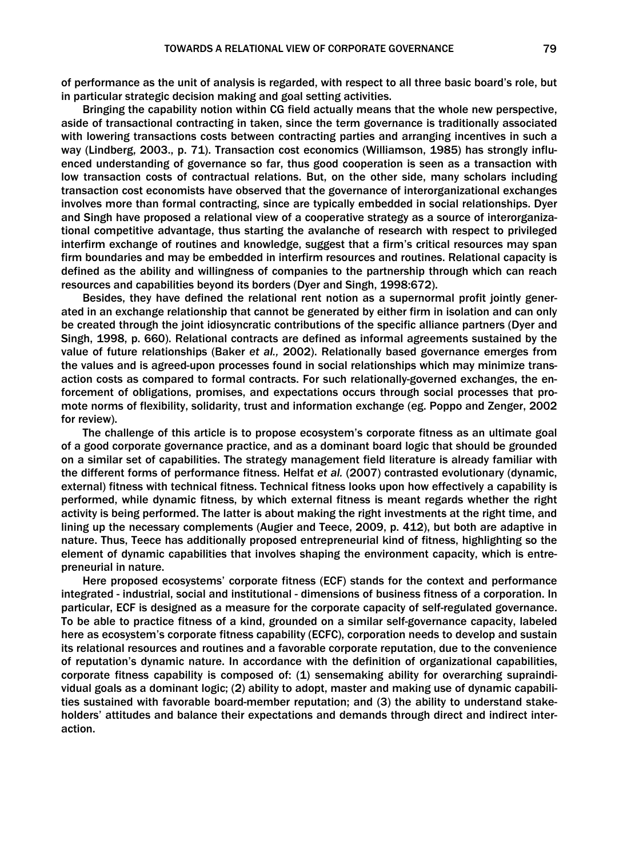of performance as the unit of analysis is regarded, with respect to all three basic board's role, but in particular strategic decision making and goal setting activities.

Bringing the capability notion within CG field actually means that the whole new perspective, aside of transactional contracting in taken, since the term governance is traditionally associated with lowering transactions costs between contracting parties and arranging incentives in such a way (Lindberg, 2003., p. 71). Transaction cost economics (Williamson, 1985) has strongly influenced understanding of governance so far, thus good cooperation is seen as a transaction with low transaction costs of contractual relations. But, on the other side, many scholars including transaction cost economists have observed that the governance of interorganizational exchanges involves more than formal contracting, since are typically embedded in social relationships. Dyer and Singh have proposed a relational view of a cooperative strategy as a source of interorganizational competitive advantage, thus starting the avalanche of research with respect to privileged interfirm exchange of routines and knowledge, suggest that a firm's critical resources may span firm boundaries and may be embedded in interfirm resources and routines. Relational capacity is defined as the ability and willingness of companies to the partnership through which can reach resources and capabilities beyond its borders (Dyer and Singh, 1998:672).

Besides, they have defined the relational rent notion as a supernormal profit jointly generated in an exchange relationship that cannot be generated by either firm in isolation and can only be created through the joint idiosyncratic contributions of the specific alliance partners (Dyer and Singh, 1998, p. 660). Relational contracts are defined as informal agreements sustained by the value of future relationships (Baker *et al.,* 2002). Relationally based governance emerges from the values and is agreed-upon processes found in social relationships which may minimize transaction costs as compared to formal contracts. For such relationally-governed exchanges, the enforcement of obligations, promises, and expectations occurs through social processes that promote norms of flexibility, solidarity, trust and information exchange (eg. Poppo and Zenger, 2002 for review).

The challenge of this article is to propose ecosystem's corporate fitness as an ultimate goal of a good corporate governance practice, and as a dominant board logic that should be grounded on a similar set of capabilities. The strategy management field literature is already familiar with the different forms of performance fitness. Helfat *et al.* (2007) contrasted evolutionary (dynamic, external) fitness with technical fitness. Technical fitness looks upon how effectively a capability is performed, while dynamic fitness, by which external fitness is meant regards whether the right activity is being performed. The latter is about making the right investments at the right time, and lining up the necessary complements (Augier and Teece, 2009, p. 412), but both are adaptive in nature. Thus, Teece has additionally proposed entrepreneurial kind of fitness, highlighting so the element of dynamic capabilities that involves shaping the environment capacity, which is entrepreneurial in nature.

Here proposed ecosystems' corporate fitness (ECF) stands for the context and performance integrated - industrial, social and institutional - dimensions of business fitness of a corporation. In particular, ECF is designed as a measure for the corporate capacity of self-regulated governance. To be able to practice fitness of a kind, grounded on a similar self-governance capacity, labeled here as ecosystem's corporate fitness capability (ECFC), corporation needs to develop and sustain its relational resources and routines and a favorable corporate reputation, due to the convenience of reputation's dynamic nature. In accordance with the definition of organizational capabilities, corporate fitness capability is composed of: (1) sensemaking ability for overarching supraindividual goals as a dominant logic; (2) ability to adopt, master and making use of dynamic capabilities sustained with favorable board-member reputation; and (3) the ability to understand stakeholders' attitudes and balance their expectations and demands through direct and indirect interaction.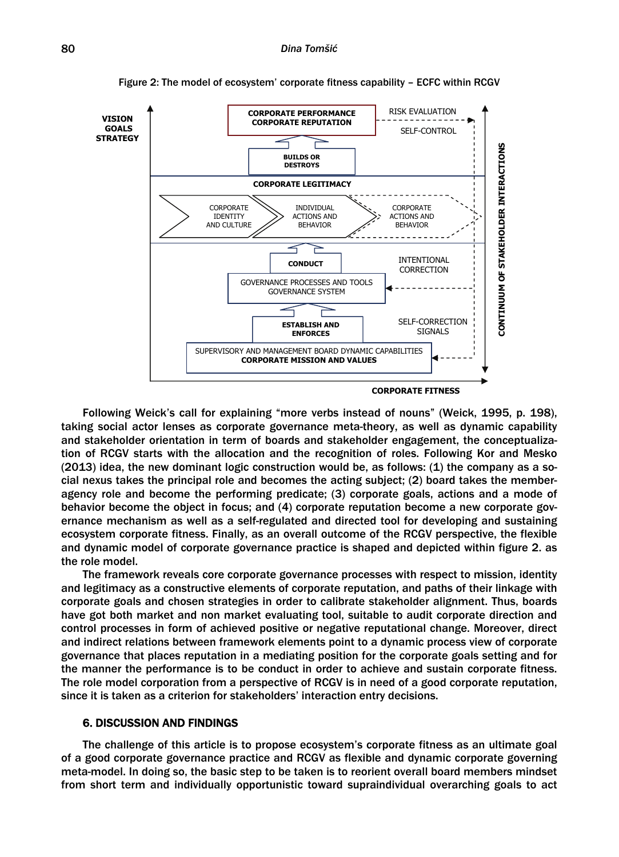

Figure 2: The model of ecosystem' corporate fitness capability – ECFC within RCGV

Following Weick's call for explaining "more verbs instead of nouns" (Weick, 1995, p. 198), taking social actor lenses as corporate governance meta-theory, as well as dynamic capability and stakeholder orientation in term of boards and stakeholder engagement, the conceptualization of RCGV starts with the allocation and the recognition of roles. Following Kor and Mesko (2013) idea, the new dominant logic construction would be, as follows: (1) the company as a social nexus takes the principal role and becomes the acting subject; (2) board takes the memberagency role and become the performing predicate; (3) corporate goals, actions and a mode of behavior become the object in focus; and (4) corporate reputation become a new corporate governance mechanism as well as a self-regulated and directed tool for developing and sustaining ecosystem corporate fitness. Finally, as an overall outcome of the RCGV perspective, the flexible and dynamic model of corporate governance practice is shaped and depicted within figure 2. as the role model.

The framework reveals core corporate governance processes with respect to mission, identity and legitimacy as a constructive elements of corporate reputation, and paths of their linkage with corporate goals and chosen strategies in order to calibrate stakeholder alignment. Thus, boards have got both market and non market evaluating tool, suitable to audit corporate direction and control processes in form of achieved positive or negative reputational change. Moreover, direct and indirect relations between framework elements point to a dynamic process view of corporate governance that places reputation in a mediating position for the corporate goals setting and for the manner the performance is to be conduct in order to achieve and sustain corporate fitness. The role model corporation from a perspective of RCGV is in need of a good corporate reputation, since it is taken as a criterion for stakeholders' interaction entry decisions.

### 6. DISCUSSION AND FINDINGS

The challenge of this article is to propose ecosystem's corporate fitness as an ultimate goal of a good corporate governance practice and RCGV as flexible and dynamic corporate governing meta-model. In doing so, the basic step to be taken is to reorient overall board members mindset from short term and individually opportunistic toward supraindividual overarching goals to act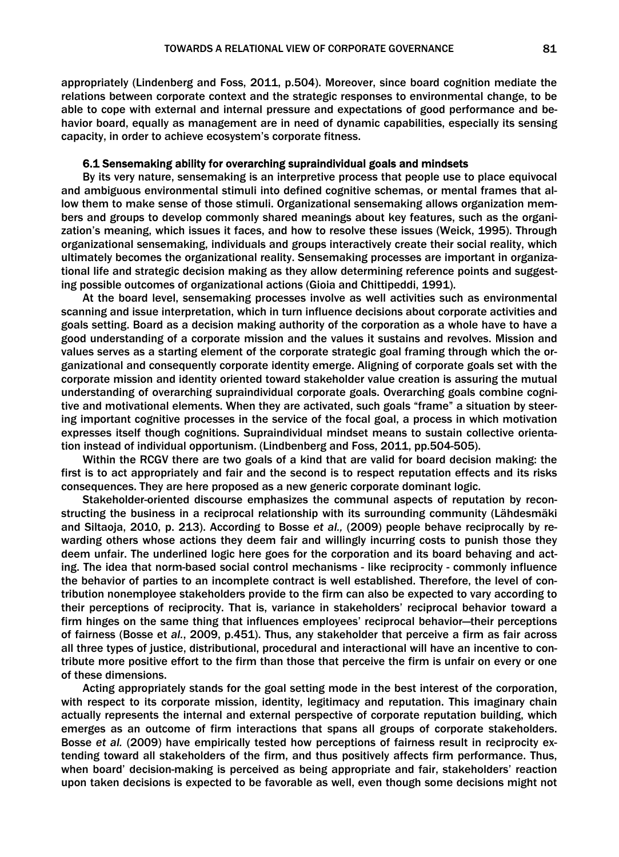appropriately (Lindenberg and Foss, 2011, p.504). Moreover, since board cognition mediate the relations between corporate context and the strategic responses to environmental change, to be able to cope with external and internal pressure and expectations of good performance and behavior board, equally as management are in need of dynamic capabilities, especially its sensing capacity, in order to achieve ecosystem's corporate fitness.

# 6.1 Sensemaking ability for overarching supraindividual goals and mindsets

By its very nature, sensemaking is an interpretive process that people use to place equivocal and ambiguous environmental stimuli into defined cognitive schemas, or mental frames that allow them to make sense of those stimuli. Organizational sensemaking allows organization members and groups to develop commonly shared meanings about key features, such as the organization's meaning, which issues it faces, and how to resolve these issues (Weick, 1995). Through organizational sensemaking, individuals and groups interactively create their social reality, which ultimately becomes the organizational reality. Sensemaking processes are important in organizational life and strategic decision making as they allow determining reference points and suggesting possible outcomes of organizational actions (Gioia and Chittipeddi, 1991).

At the board level, sensemaking processes involve as well activities such as environmental scanning and issue interpretation, which in turn influence decisions about corporate activities and goals setting. Board as a decision making authority of the corporation as a whole have to have a good understanding of a corporate mission and the values it sustains and revolves. Mission and values serves as a starting element of the corporate strategic goal framing through which the organizational and consequently corporate identity emerge. Aligning of corporate goals set with the corporate mission and identity oriented toward stakeholder value creation is assuring the mutual understanding of overarching supraindividual corporate goals. Overarching goals combine cognitive and motivational elements. When they are activated, such goals "frame" a situation by steering important cognitive processes in the service of the focal goal, a process in which motivation expresses itself though cognitions. Supraindividual mindset means to sustain collective orientation instead of individual opportunism. (Lindbenberg and Foss, 2011, pp.504-505).

Within the RCGV there are two goals of a kind that are valid for board decision making: the first is to act appropriately and fair and the second is to respect reputation effects and its risks consequences. They are here proposed as a new generic corporate dominant logic.

Stakeholder-oriented discourse emphasizes the communal aspects of reputation by reconstructing the business in a reciprocal relationship with its surrounding community (Lähdesmäki and Siltaoja, 2010, p. 213). According to Bosse *et al.,* (2009) people behave reciprocally by rewarding others whose actions they deem fair and willingly incurring costs to punish those they deem unfair. The underlined logic here goes for the corporation and its board behaving and acting. The idea that norm-based social control mechanisms - like reciprocity - commonly influence the behavior of parties to an incomplete contract is well established. Therefore, the level of contribution nonemployee stakeholders provide to the firm can also be expected to vary according to their perceptions of reciprocity. That is, variance in stakeholders' reciprocal behavior toward a firm hinges on the same thing that influences employees' reciprocal behavior—their perceptions of fairness (Bosse et *al.*, 2009, p.451). Thus, any stakeholder that perceive a firm as fair across all three types of justice, distributional, procedural and interactional will have an incentive to contribute more positive effort to the firm than those that perceive the firm is unfair on every or one of these dimensions.

Acting appropriately stands for the goal setting mode in the best interest of the corporation, with respect to its corporate mission, identity, legitimacy and reputation. This imaginary chain actually represents the internal and external perspective of corporate reputation building, which emerges as an outcome of firm interactions that spans all groups of corporate stakeholders. Bosse *et al.* (2009) have empirically tested how perceptions of fairness result in reciprocity extending toward all stakeholders of the firm, and thus positively affects firm performance. Thus, when board' decision-making is perceived as being appropriate and fair, stakeholders' reaction upon taken decisions is expected to be favorable as well, even though some decisions might not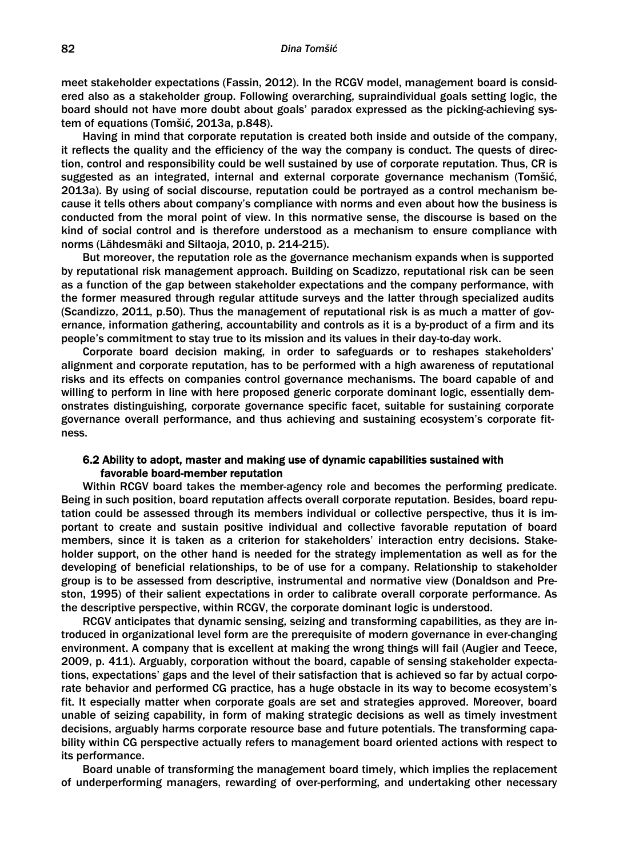meet stakeholder expectations (Fassin, 2012). In the RCGV model, management board is considered also as a stakeholder group. Following overarching, supraindividual goals setting logic, the board should not have more doubt about goals' paradox expressed as the picking-achieving system of equations (Tomšić, 2013a, p.848).

Having in mind that corporate reputation is created both inside and outside of the company, it reflects the quality and the efficiency of the way the company is conduct. The quests of direction, control and responsibility could be well sustained by use of corporate reputation. Thus, CR is suggested as an integrated, internal and external corporate governance mechanism (Tomšić, 2013a). By using of social discourse, reputation could be portrayed as a control mechanism because it tells others about company's compliance with norms and even about how the business is conducted from the moral point of view. In this normative sense, the discourse is based on the kind of social control and is therefore understood as a mechanism to ensure compliance with norms (Lähdesmäki and Siltaoja, 2010, p. 214-215).

But moreover, the reputation role as the governance mechanism expands when is supported by reputational risk management approach. Building on Scadizzo, reputational risk can be seen as a function of the gap between stakeholder expectations and the company performance, with the former measured through regular attitude surveys and the latter through specialized audits (Scandizzo, 2011, p.50). Thus the management of reputational risk is as much a matter of governance, information gathering, accountability and controls as it is a by-product of a firm and its people's commitment to stay true to its mission and its values in their day-to-day work.

Corporate board decision making, in order to safeguards or to reshapes stakeholders' alignment and corporate reputation, has to be performed with a high awareness of reputational risks and its effects on companies control governance mechanisms. The board capable of and willing to perform in line with here proposed generic corporate dominant logic, essentially demonstrates distinguishing, corporate governance specific facet, suitable for sustaining corporate governance overall performance, and thus achieving and sustaining ecosystem's corporate fitness.

# 6.2 Ability to adopt, master and making use of dynamic capabilities sustained with favorable board-member reputation

Within RCGV board takes the member-agency role and becomes the performing predicate. Being in such position, board reputation affects overall corporate reputation. Besides, board reputation could be assessed through its members individual or collective perspective, thus it is important to create and sustain positive individual and collective favorable reputation of board members, since it is taken as a criterion for stakeholders' interaction entry decisions. Stakeholder support, on the other hand is needed for the strategy implementation as well as for the developing of beneficial relationships, to be of use for a company. Relationship to stakeholder group is to be assessed from descriptive, instrumental and normative view (Donaldson and Preston, 1995) of their salient expectations in order to calibrate overall corporate performance. As the descriptive perspective, within RCGV, the corporate dominant logic is understood.

RCGV anticipates that dynamic sensing, seizing and transforming capabilities, as they are introduced in organizational level form are the prerequisite of modern governance in ever-changing environment. A company that is excellent at making the wrong things will fail (Augier and Teece, 2009, p. 411). Arguably, corporation without the board, capable of sensing stakeholder expectations, expectations' gaps and the level of their satisfaction that is achieved so far by actual corporate behavior and performed CG practice, has a huge obstacle in its way to become ecosystem's fit. It especially matter when corporate goals are set and strategies approved. Moreover, board unable of seizing capability, in form of making strategic decisions as well as timely investment decisions, arguably harms corporate resource base and future potentials. The transforming capability within CG perspective actually refers to management board oriented actions with respect to its performance.

Board unable of transforming the management board timely, which implies the replacement of underperforming managers, rewarding of over-performing, and undertaking other necessary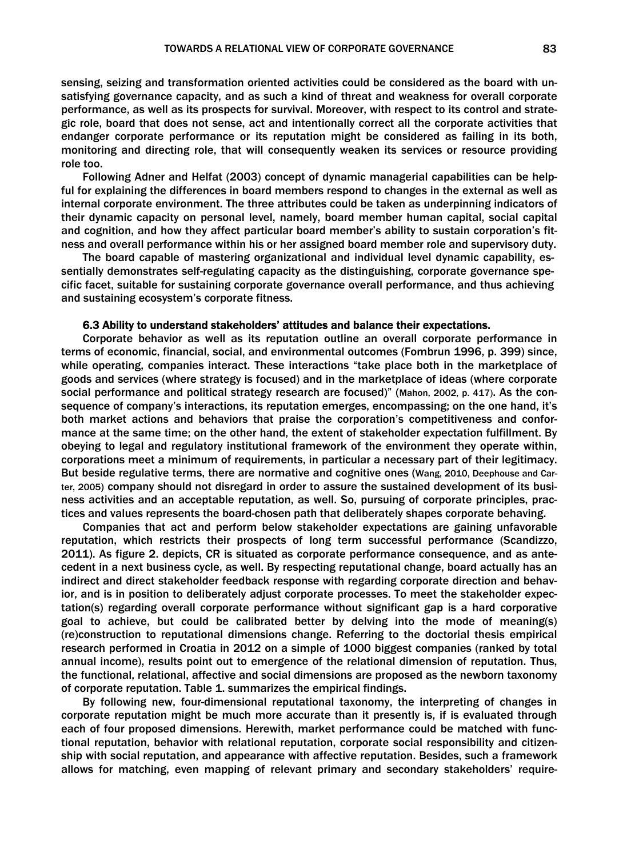sensing, seizing and transformation oriented activities could be considered as the board with unsatisfying governance capacity, and as such a kind of threat and weakness for overall corporate performance, as well as its prospects for survival. Moreover, with respect to its control and strategic role, board that does not sense, act and intentionally correct all the corporate activities that endanger corporate performance or its reputation might be considered as failing in its both, monitoring and directing role, that will consequently weaken its services or resource providing role too.

Following Adner and Helfat (2003) concept of dynamic managerial capabilities can be helpful for explaining the differences in board members respond to changes in the external as well as internal corporate environment. The three attributes could be taken as underpinning indicators of their dynamic capacity on personal level, namely, board member human capital, social capital and cognition, and how they affect particular board member's ability to sustain corporation's fitness and overall performance within his or her assigned board member role and supervisory duty.

The board capable of mastering organizational and individual level dynamic capability, essentially demonstrates self-regulating capacity as the distinguishing, corporate governance specific facet, suitable for sustaining corporate governance overall performance, and thus achieving and sustaining ecosystem's corporate fitness.

#### 6.3 Ability to understand stakeholders' attitudes and balance their expectations.

Corporate behavior as well as its reputation outline an overall corporate performance in terms of economic, financial, social, and environmental outcomes (Fombrun 1996, p. 399) since, while operating, companies interact. These interactions "take place both in the marketplace of goods and services (where strategy is focused) and in the marketplace of ideas (where corporate social performance and political strategy research are focused)" (Mahon, 2002, p. 417). As the consequence of company's interactions, its reputation emerges, encompassing; on the one hand, it's both market actions and behaviors that praise the corporation's competitiveness and conformance at the same time; on the other hand, the extent of stakeholder expectation fulfillment. By obeying to legal and regulatory institutional framework of the environment they operate within, corporations meet a minimum of requirements, in particular a necessary part of their legitimacy. But beside regulative terms, there are normative and cognitive ones (Wang, 2010, Deephouse and Carter, 2005) company should not disregard in order to assure the sustained development of its business activities and an acceptable reputation, as well. So, pursuing of corporate principles, practices and values represents the board-chosen path that deliberately shapes corporate behaving.

Companies that act and perform below stakeholder expectations are gaining unfavorable reputation, which restricts their prospects of long term successful performance (Scandizzo, 2011). As figure 2. depicts, CR is situated as corporate performance consequence, and as antecedent in a next business cycle, as well. By respecting reputational change, board actually has an indirect and direct stakeholder feedback response with regarding corporate direction and behavior, and is in position to deliberately adjust corporate processes. To meet the stakeholder expectation(s) regarding overall corporate performance without significant gap is a hard corporative goal to achieve, but could be calibrated better by delving into the mode of meaning(s) (re)construction to reputational dimensions change. Referring to the doctorial thesis empirical research performed in Croatia in 2012 on a simple of 1000 biggest companies (ranked by total annual income), results point out to emergence of the relational dimension of reputation. Thus, the functional, relational, affective and social dimensions are proposed as the newborn taxonomy of corporate reputation. Table 1. summarizes the empirical findings.

By following new, four-dimensional reputational taxonomy, the interpreting of changes in corporate reputation might be much more accurate than it presently is, if is evaluated through each of four proposed dimensions. Herewith, market performance could be matched with functional reputation, behavior with relational reputation, corporate social responsibility and citizenship with social reputation, and appearance with affective reputation. Besides, such a framework allows for matching, even mapping of relevant primary and secondary stakeholders' require-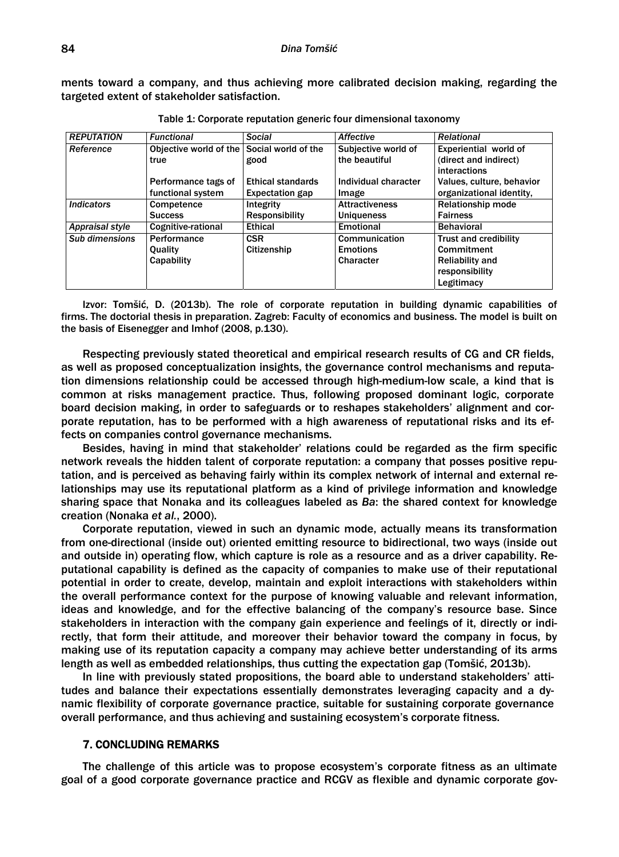ments toward a company, and thus achieving more calibrated decision making, regarding the targeted extent of stakeholder satisfaction.

| <b>REPUTATION</b> | <b>Functional</b>                          | Social                   | Affective             | <b>Relational</b>            |
|-------------------|--------------------------------------------|--------------------------|-----------------------|------------------------------|
| Reference         | Objective world of the Social world of the |                          | Subjective world of   | Experiential world of        |
|                   | true                                       | good                     | the beautiful         | (direct and indirect)        |
|                   |                                            |                          |                       | interactions                 |
|                   | Performance tags of                        | <b>Ethical standards</b> | Individual character  | Values, culture, behavior    |
|                   | functional system                          | <b>Expectation gap</b>   | Image                 | organizational identity.     |
| <b>Indicators</b> | Competence                                 | Integrity                | <b>Attractiveness</b> | <b>Relationship mode</b>     |
|                   | <b>Success</b>                             | <b>Responsibility</b>    | <b>Uniqueness</b>     | <b>Fairness</b>              |
| Appraisal style   | Cognitive-rational                         | <b>Ethical</b>           | <b>Emotional</b>      | <b>Behavioral</b>            |
| Sub dimensions    | Performance                                | <b>CSR</b>               | Communication         | <b>Trust and credibility</b> |
|                   | <b>Ouality</b>                             | Citizenship              | <b>Emotions</b>       | Commitment                   |
|                   | Capability                                 |                          | Character             | <b>Reliability and</b>       |
|                   |                                            |                          |                       | responsibility               |
|                   |                                            |                          |                       | Legitimacy                   |

Table 1: Corporate reputation generic four dimensional taxonomy

Izvor: Tomšić, D. (2013b). The role of corporate reputation in building dynamic capabilities of firms. The doctorial thesis in preparation. Zagreb: Faculty of economics and business. The model is built on the basis of Eisenegger and Imhof (2008, p.130).

Respecting previously stated theoretical and empirical research results of CG and CR fields, as well as proposed conceptualization insights, the governance control mechanisms and reputation dimensions relationship could be accessed through high-medium-low scale, a kind that is common at risks management practice. Thus, following proposed dominant logic, corporate board decision making, in order to safeguards or to reshapes stakeholders' alignment and corporate reputation, has to be performed with a high awareness of reputational risks and its effects on companies control governance mechanisms.

Besides, having in mind that stakeholder' relations could be regarded as the firm specific network reveals the hidden talent of corporate reputation: a company that posses positive reputation, and is perceived as behaving fairly within its complex network of internal and external relationships may use its reputational platform as a kind of privilege information and knowledge sharing space that Nonaka and its colleagues labeled as *Ba*: the shared context for knowledge creation (Nonaka *et al.*, 2000).

Corporate reputation, viewed in such an dynamic mode, actually means its transformation from one-directional (inside out) oriented emitting resource to bidirectional, two ways (inside out and outside in) operating flow, which capture is role as a resource and as a driver capability. Reputational capability is defined as the capacity of companies to make use of their reputational potential in order to create, develop, maintain and exploit interactions with stakeholders within the overall performance context for the purpose of knowing valuable and relevant information, ideas and knowledge, and for the effective balancing of the company's resource base. Since stakeholders in interaction with the company gain experience and feelings of it, directly or indirectly, that form their attitude, and moreover their behavior toward the company in focus, by making use of its reputation capacity a company may achieve better understanding of its arms length as well as embedded relationships, thus cutting the expectation gap (Tomšić, 2013b).

In line with previously stated propositions, the board able to understand stakeholders' attitudes and balance their expectations essentially demonstrates leveraging capacity and a dynamic flexibility of corporate governance practice, suitable for sustaining corporate governance overall performance, and thus achieving and sustaining ecosystem's corporate fitness.

## 7. CONCLUDING REMARKS

The challenge of this article was to propose ecosystem's corporate fitness as an ultimate goal of a good corporate governance practice and RCGV as flexible and dynamic corporate gov-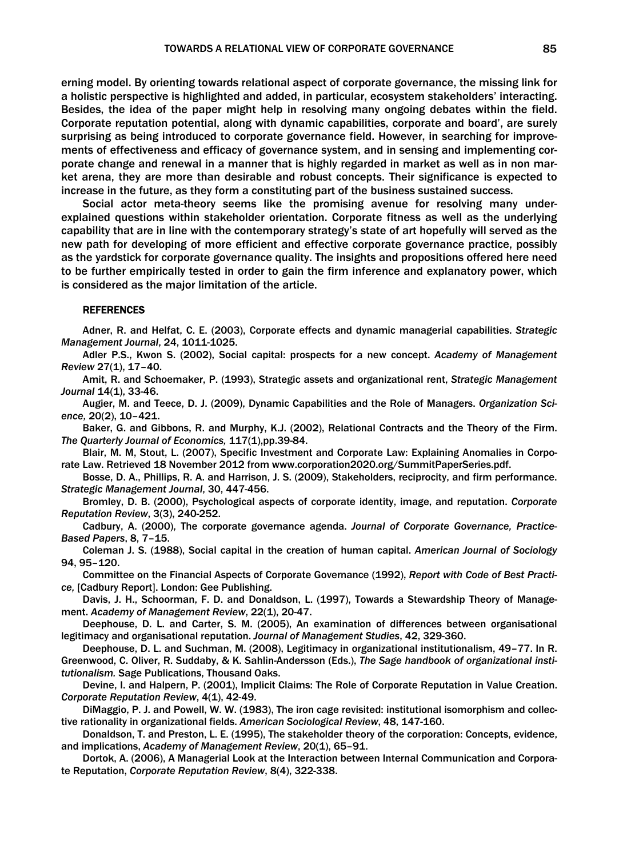erning model. By orienting towards relational aspect of corporate governance, the missing link for a holistic perspective is highlighted and added, in particular, ecosystem stakeholders' interacting. Besides, the idea of the paper might help in resolving many ongoing debates within the field. Corporate reputation potential, along with dynamic capabilities, corporate and board', are surely surprising as being introduced to corporate governance field. However, in searching for improvements of effectiveness and efficacy of governance system, and in sensing and implementing corporate change and renewal in a manner that is highly regarded in market as well as in non market arena, they are more than desirable and robust concepts. Their significance is expected to increase in the future, as they form a constituting part of the business sustained success.

Social actor meta-theory seems like the promising avenue for resolving many underexplained questions within stakeholder orientation. Corporate fitness as well as the underlying capability that are in line with the contemporary strategy's state of art hopefully will served as the new path for developing of more efficient and effective corporate governance practice, possibly as the yardstick for corporate governance quality. The insights and propositions offered here need to be further empirically tested in order to gain the firm inference and explanatory power, which is considered as the major limitation of the article.

## **REFERENCES**

Adner, R. and Helfat, C. E. (2003), Corporate effects and dynamic managerial capabilities. *Strategic Management Journal*, 24, 1011-1025.

Adler P.S., Kwon S. (2002), Social capital: prospects for a new concept. *Academy of Management Review* 27(1), 17–40.

Amit, R. and Schoemaker, P. (1993), Strategic assets and organizational rent, *Strategic Management Journal* 14(1), 33-46.

Augier, M. and Teece, D. J. (2009), Dynamic Capabilities and the Role of Managers. *Organization Science,* 20(2), 10–421.

Baker, G. and Gibbons, R. and Murphy, K.J. (2002), Relational Contracts and the Theory of the Firm. *The Quarterly Journal of Economics,* 117(1),pp.39-84.

Blair, M. M, Stout, L. (2007), Specific Investment and Corporate Law: Explaining Anomalies in Corporate Law. Retrieved 18 November 2012 from www.corporation2020.org/SummitPaperSeries.pdf.

Bosse, D. A., Phillips, R. A. and Harrison, J. S. (2009), Stakeholders, reciprocity, and firm performance. *Strategic Management Journal*, 30, 447-456.

Bromley, D. B. (2000), Psychological aspects of corporate identity, image, and reputation. *Corporate Reputation Review*, 3(3), 240-252.

Cadbury, A. (2000), The corporate governance agenda. *Journal of Corporate Governance, Practice-Based Papers*, 8, 7–15.

Coleman J. S. (1988), Social capital in the creation of human capital. *American Journal of Sociology*  94, 95–120.

Committee on the Financial Aspects of Corporate Governance (1992), *Report with Code of Best Practice,* [Cadbury Report]. London: Gee Publishing.

Davis, J. H., Schoorman, F. D. and Donaldson, L. (1997), Towards a Stewardship Theory of Management. *Academy of Management Review*, 22(1), 20-47.

Deephouse, D. L. and Carter, S. M. (2005), An examination of differences between organisational legitimacy and organisational reputation. *Journal of Management Studies*,42, 329-360.

Deephouse, D. L. and Suchman, M. (2008), Legitimacy in organizational institutionalism, 49–77. In R. Greenwood, C. Oliver, R. Suddaby, & K. Sahlin-Andersson (Eds.), *The Sage handbook of organizational institutionalism.* Sage Publications, Thousand Oaks.

Devine, I. and Halpern, P. (2001), Implicit Claims: The Role of Corporate Reputation in Value Creation. *Corporate Reputation Review*, 4(1), 42-49.

DiMaggio, P. J. and Powell, W. W. (1983), The iron cage revisited: institutional isomorphism and collective rationality in organizational fields. *American Sociological Review*, 48, 147-160.

Donaldson, T. and Preston, L. E. (1995), The stakeholder theory of the corporation: Concepts, evidence, and implications, *Academy of Management Review*, 20(1), 65–91.

Dortok, A. (2006), A Managerial Look at the Interaction between Internal Communication and Corporate Reputation, *Corporate Reputation Review*, 8(4), 322-338.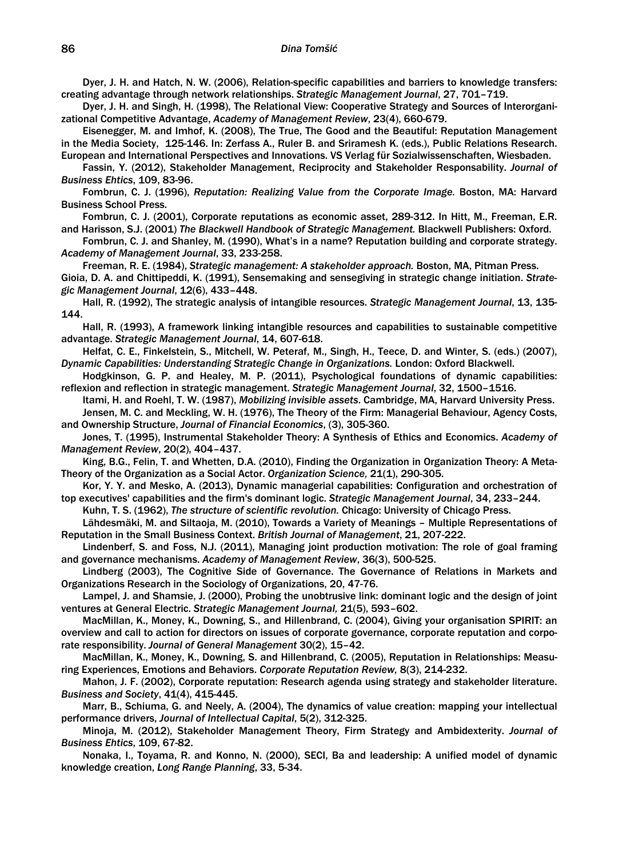Dyer, J. H. and Hatch, N. W. (2006), Relation-specific capabilities and barriers to knowledge transfers: creating advantage through network relationships. *Strategic Management Journal*, 27, 701–719.

Dyer, J. H. and Singh, H. (1998), The Relational View: Cooperative Strategy and Sources of Interorganizational Competitive Advantage, *Academy of Management Review*, 23(4), 660-679.

Eisenegger, M. and Imhof, K. (2008), The True, The Good and the Beautiful: Reputation Management in the Media Society, 125-146. In: Zerfass A., Ruler B. and Sriramesh K. (eds.), Public Relations Research. European and International Perspectives and Innovations. VS Verlag für Sozialwissenschaften, Wiesbaden.

Fassin, Y. (2012), Stakeholder Management, Reciprocity and Stakeholder Responsability. *Journal of Business Ehtics*, 109, 83-96.

Fombrun, C. J. (1996), *Reputation: Realizing Value from the Corporate Image.* Boston, MA: Harvard Business School Press.

Fombrun, C. J. (2001), Corporate reputations as economic asset, 289-312. In Hitt, M., Freeman, E.R. and Harisson, S.J. (2001) *The Blackwell Handbook of Strategic Management.* Blackwell Publishers: Oxford.

Fombrun, C. J. and Shanley, M. (1990), What's in a name? Reputation building and corporate strategy. *Academy of Management Journal*, 33, 233-258.

Freeman, R. E. (1984), *Strategic management: A stakeholder approach.* Boston, MA, Pitman Press. Gioia, D. A. and Chittipeddi, K. (1991), Sensemaking and sensegiving in strategic change initiation. *Strategic Management Journal*, 12(6), 433–448.

Hall, R. (1992), The strategic analysis of intangible resources. *Strategic Management Journal*, 13, 135- 144.

Hall, R. (1993), A framework linking intangible resources and capabilities to sustainable competitive advantage. *Strategic Management Journal*, 14, 607-618.

Helfat, C. E., Finkelstein, S., Mitchell, W. Peteraf, M., Singh, H., Teece, D. and Winter, S. (eds.) (2007), *Dynamic Capabilities: Understanding Strategic Change in Organizations.* London: Oxford Blackwell.

Hodgkinson, G. P. and Healey, M. P. (2011), Psychological foundations of dynamic capabilities: reflexion and reflection in strategic management. *Strategic Management Journal*, 32, 1500–1516.

Itami, H. and Roehl, T. W. (1987), *Mobilizing invisible assets*. Cambridge, MA, Harvard University Press. Jensen, M. C. and Meckling, W. H. (1976), The Theory of the Firm: Managerial Behaviour, Agency Costs, and Ownership Structure, *Journal of Financial Economics*, (3), 305-360.

Jones, T. (1995), Instrumental Stakeholder Theory: A Synthesis of Ethics and Economics. *Academy of Management Review*, 20(2), 404–437.

King, B.G., Felin, T. and Whetten, D.A. (2010), Finding the Organization in Organization Theory: A Meta-Theory of the Organization as a Social Actor. *Organization Science,* 21(1), 290-305.

Kor, Y. Y. and Mesko, A. (2013), Dynamic managerial capabilities: Configuration and orchestration of top executives' capabilities and the firm's dominant logic. *Strategic Management Journal*, 34, 233–244.

Kuhn, T. S. (1962), *The structure of scientific revolution.* Chicago: University of Chicago Press.

Lähdesmäki, M. and Siltaoja, M. (2010), Towards a Variety of Meanings – Multiple Representations of Reputation in the Small Business Context. *British Journal of Management*, 21, 207-222.

Lindenberf, S. and Foss, N.J. (2011), Managing joint production motivation: The role of goal framing and governance mechanisms. *Academy of Management Review*, 36(3), 500-525.

Lindberg (2003), The Cognitive Side of Governance. The Governance of Relations in Markets and Organizations Research in the Sociology of Organizations, 20, 47-76.

Lampel, J. and Shamsie, J. (2000), Probing the unobtrusive link: dominant logic and the design of joint ventures at General Electric. *Strategic Management Journal,* 21(5), 593–602.

MacMillan, K., Money, K., Downing, S., and Hillenbrand, C. (2004), Giving your organisation SPIRIT: an overview and call to action for directors on issues of corporate governance, corporate reputation and corporate responsibility. *Journal of General Management* 30(2), 15–42.

MacMillan, K., Money, K., Downing, S. and Hillenbrand, C. (2005), Reputation in Relationships: Measuring Experiences, Emotions and Behaviors. *Corporate Reputation Review,* 8(3), 214-232.

Mahon, J. F. (2002), Corporate reputation: Research agenda using strategy and stakeholder literature. *Business and Society*, 41(4), 415-445.

Marr, B., Schiuma, G. and Neely, A. (2004), The dynamics of value creation: mapping your intellectual performance drivers, *Journal of Intellectual Capital*, 5(2), 312-325.

Minoja, M. (2012), Stakeholder Management Theory, Firm Strategy and Ambidexterity. *Journal of Business Ehtics*, 109, 67-82.

Nonaka, I., Toyama, R. and Konno, N. (2000), SECI, Ba and leadership: A unified model of dynamic knowledge creation, *Long Range Planning*, 33, 5-34.